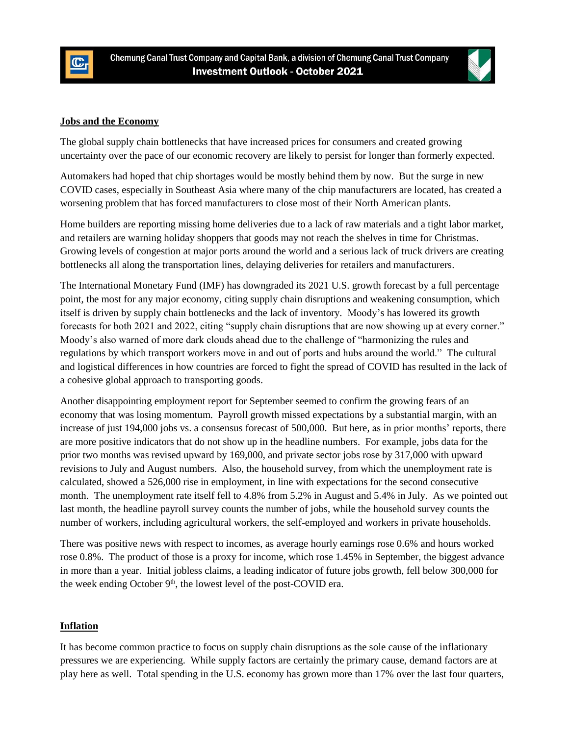



## **Jobs and the Economy**

The global supply chain bottlenecks that have increased prices for consumers and created growing uncertainty over the pace of our economic recovery are likely to persist for longer than formerly expected.

Automakers had hoped that chip shortages would be mostly behind them by now. But the surge in new COVID cases, especially in Southeast Asia where many of the chip manufacturers are located, has created a worsening problem that has forced manufacturers to close most of their North American plants.

Home builders are reporting missing home deliveries due to a lack of raw materials and a tight labor market, and retailers are warning holiday shoppers that goods may not reach the shelves in time for Christmas. Growing levels of congestion at major ports around the world and a serious lack of truck drivers are creating bottlenecks all along the transportation lines, delaying deliveries for retailers and manufacturers.

The International Monetary Fund (IMF) has downgraded its 2021 U.S. growth forecast by a full percentage point, the most for any major economy, citing supply chain disruptions and weakening consumption, which itself is driven by supply chain bottlenecks and the lack of inventory. Moody's has lowered its growth forecasts for both 2021 and 2022, citing "supply chain disruptions that are now showing up at every corner." Moody's also warned of more dark clouds ahead due to the challenge of "harmonizing the rules and regulations by which transport workers move in and out of ports and hubs around the world." The cultural and logistical differences in how countries are forced to fight the spread of COVID has resulted in the lack of a cohesive global approach to transporting goods.

Another disappointing employment report for September seemed to confirm the growing fears of an economy that was losing momentum. Payroll growth missed expectations by a substantial margin, with an increase of just 194,000 jobs vs. a consensus forecast of 500,000. But here, as in prior months' reports, there are more positive indicators that do not show up in the headline numbers. For example, jobs data for the prior two months was revised upward by 169,000, and private sector jobs rose by 317,000 with upward revisions to July and August numbers. Also, the household survey, from which the unemployment rate is calculated, showed a 526,000 rise in employment, in line with expectations for the second consecutive month. The unemployment rate itself fell to 4.8% from 5.2% in August and 5.4% in July. As we pointed out last month, the headline payroll survey counts the number of jobs, while the household survey counts the number of workers, including agricultural workers, the self-employed and workers in private households.

There was positive news with respect to incomes, as average hourly earnings rose 0.6% and hours worked rose 0.8%. The product of those is a proxy for income, which rose 1.45% in September, the biggest advance in more than a year. Initial jobless claims, a leading indicator of future jobs growth, fell below 300,000 for the week ending October  $9<sup>th</sup>$ , the lowest level of the post-COVID era.

## **Inflation**

It has become common practice to focus on supply chain disruptions as the sole cause of the inflationary pressures we are experiencing. While supply factors are certainly the primary cause, demand factors are at play here as well. Total spending in the U.S. economy has grown more than 17% over the last four quarters,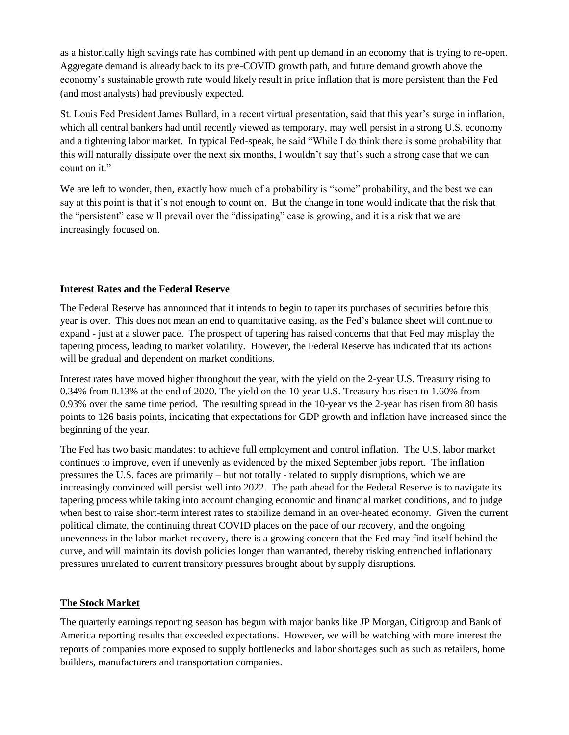as a historically high savings rate has combined with pent up demand in an economy that is trying to re-open. Aggregate demand is already back to its pre-COVID growth path, and future demand growth above the economy's sustainable growth rate would likely result in price inflation that is more persistent than the Fed (and most analysts) had previously expected.

St. Louis Fed President James Bullard, in a recent virtual presentation, said that this year's surge in inflation, which all central bankers had until recently viewed as temporary, may well persist in a strong U.S. economy and a tightening labor market. In typical Fed-speak, he said "While I do think there is some probability that this will naturally dissipate over the next six months, I wouldn't say that's such a strong case that we can count on it."

We are left to wonder, then, exactly how much of a probability is "some" probability, and the best we can say at this point is that it's not enough to count on. But the change in tone would indicate that the risk that the "persistent" case will prevail over the "dissipating" case is growing, and it is a risk that we are increasingly focused on.

## **Interest Rates and the Federal Reserve**

The Federal Reserve has announced that it intends to begin to taper its purchases of securities before this year is over. This does not mean an end to quantitative easing, as the Fed's balance sheet will continue to expand - just at a slower pace. The prospect of tapering has raised concerns that that Fed may misplay the tapering process, leading to market volatility. However, the Federal Reserve has indicated that its actions will be gradual and dependent on market conditions.

Interest rates have moved higher throughout the year, with the yield on the 2-year U.S. Treasury rising to 0.34% from 0.13% at the end of 2020. The yield on the 10-year U.S. Treasury has risen to 1.60% from 0.93% over the same time period. The resulting spread in the 10-year vs the 2-year has risen from 80 basis points to 126 basis points, indicating that expectations for GDP growth and inflation have increased since the beginning of the year.

The Fed has two basic mandates: to achieve full employment and control inflation. The U.S. labor market continues to improve, even if unevenly as evidenced by the mixed September jobs report. The inflation pressures the U.S. faces are primarily – but not totally - related to supply disruptions, which we are increasingly convinced will persist well into 2022. The path ahead for the Federal Reserve is to navigate its tapering process while taking into account changing economic and financial market conditions, and to judge when best to raise short-term interest rates to stabilize demand in an over-heated economy. Given the current political climate, the continuing threat COVID places on the pace of our recovery, and the ongoing unevenness in the labor market recovery, there is a growing concern that the Fed may find itself behind the curve, and will maintain its dovish policies longer than warranted, thereby risking entrenched inflationary pressures unrelated to current transitory pressures brought about by supply disruptions.

## **The Stock Market**

The quarterly earnings reporting season has begun with major banks like JP Morgan, Citigroup and Bank of America reporting results that exceeded expectations. However, we will be watching with more interest the reports of companies more exposed to supply bottlenecks and labor shortages such as such as retailers, home builders, manufacturers and transportation companies.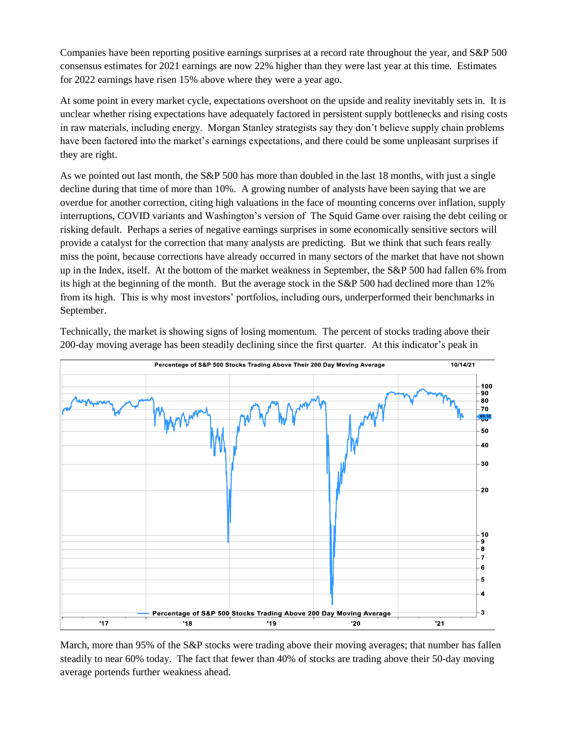Companies have been reporting positive earnings surprises at a record rate throughout the year, and S&P 500 consensus estimates for 2021 earnings are now 22% higher than they were last year at this time. Estimates for 2022 earnings have risen 15% above where they were a year ago.

At some point in every market cycle, expectations overshoot on the upside and reality inevitably sets in. It is unclear whether rising expectations have adequately factored in persistent supply bottlenecks and rising costs in raw materials, including energy. Morgan Stanley strategists say they don't believe supply chain problems have been factored into the market's earnings expectations, and there could be some unpleasant surprises if they are right.

As we pointed out last month, the S&P 500 has more than doubled in the last 18 months, with just a single decline during that time of more than 10%. A growing number of analysts have been saying that we are overdue for another correction, citing high valuations in the face of mounting concerns over inflation, supply interruptions, COVID variants and Washington's version of The Squid Game over raising the debt ceiling or risking default. Perhaps a series of negative earnings surprises in some economically sensitive sectors will provide a catalyst for the correction that many analysts are predicting. But we think that such fears really miss the point, because corrections have already occurred in many sectors of the market that have not shown up in the Index, itself. At the bottom of the market weakness in September, the S&P 500 had fallen 6% from its high at the beginning of the month. But the average stock in the S&P 500 had declined more than 12% from its high. This is why most investors' portfolios, including ours, underperformed their benchmarks in September.

Technically, the market is showing signs of losing momentum. The percent of stocks trading above their 200-day moving average has been steadily declining since the first quarter. At this indicator's peak in



March, more than 95% of the S&P stocks were trading above their moving averages; that number has fallen steadily to near 60% today. The fact that fewer than 40% of stocks are trading above their 50-day moving average portends further weakness ahead.